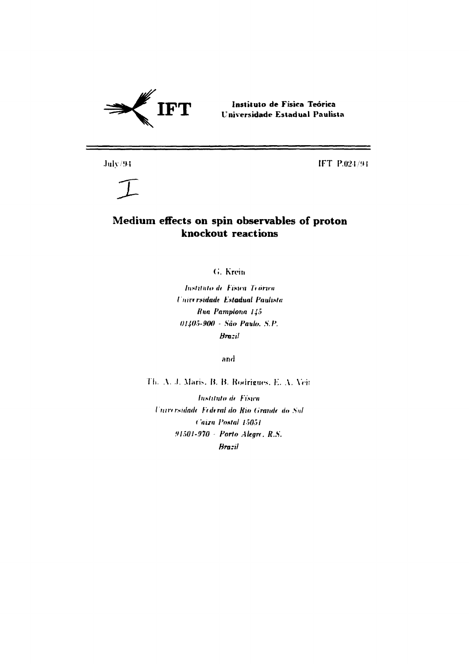

Instituto de Física Teórica Universidade Estadual Paulista

 $\mathrm{Julv}/94$ 

IFT P.024794

# $\tau$

## Medium effects on spin observables of proton knockout reactions

G. Krein

Instituto de Física Teorica Universidade Estadual Paulista Rua Pamplona 145 01405-900 - São Paulo, S.P. **Brazil** 

and

Th. A. J. Maris, B. B. Rodrigues, E. A. Veit

Instituto de Física Universidade Federal do Rio Grande do Sul Caira Postal 15051 91501-970 - Porto Alegre, R.S. **Brazil**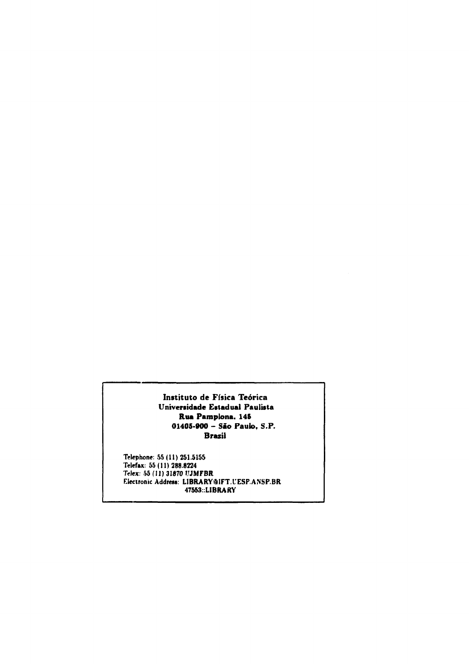**Instituto de Física Teórica Universidade Estadual Paulista Rua Pamplona. 14S 01405-900 - São Paulo, S.P. Brazil**

**Telephone: 55(11)251.5155 Telefax: 55(11)288.8224 Telex: 55 (11) 31870 ÜJMFBR Electronic Address: LIBRARYâlFT UESP ANSP BR 47553::LIBRARY**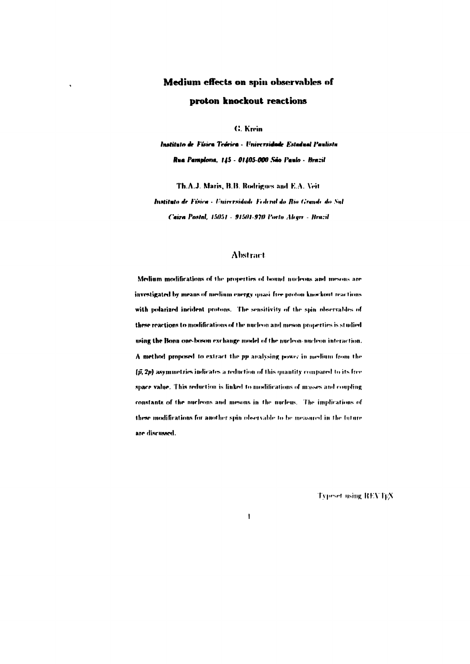## Medium effects on spin observables of proton knockout reactions

G. Krein

Instituto de Fúsica Teórica - Universidade Estadual Paulista Rua Pamplona, 145 - 01405-000 São Paulo - Brazil

Th.A.J. Maris, B.B. Rodrigues and E.A. Veit

Instituto de Física - Universidade Federal do Rio Grande do Sul Caira Postal, 15051 - 91501-970 Porto Alegre - Brazil

## **Abstract**

Medium modifications of the properties of bound nucleons and mesons are investigated by means of medium energy quasi-free proton-knockout reactions with polarized incident protons. The sensitivity of the spin observables of these reactions to modifications of the nucleon and meson properties is studied using the Bonn one-boson exchange model of the nucleon-nucleon interaction. A method proposed to extract the pp analysing power in medium from the  $(\tilde{y}, 2p)$  asymmetries indicates a reduction of this quantity compared to its free space value. This reduction is linked to modifications of masses and coupling constants of the nucleons and mesons in the nucleus. The implications of these modifications for another spin observable to be measured in the future are discussed.

 $\overline{1}$ 

**Typeset using REVTEX**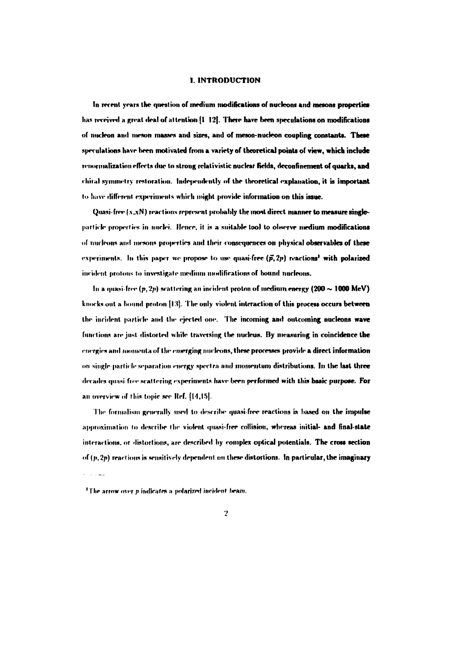## **1. INTRODUCTION**

In recent years the question of medium modifications of nucleons and mesons properties has received a great deal of attention (I 121. There have been speculations on modifications of nucleon and meson masses and sizes, and of meson-nucleon coupling constants. These **speculations have been motivated from a variety of theoretical points of view, which include** renormalization effects due to strong relativistic nuclear fields, deconfinement of quarks, and chiral symmetry restoration. Independently of the theoretical explanation, it is important to have different experiments which might provide information on this issue.

Quasi-free (x,xN) reactions represent probably the most direct manner to measure singleparticle properties in nuclei. Hence, it is a suitable tool to observe medium modifications of micleons and mesons properties and their consequences on physical observables of these  $\exp$ -riments. In this paper we propose to use quasi-free  $(\vec{p}, 2p)$  reactions<sup>1</sup> with polarized incident protons to investigate medium modifications of bound nucleons.

In a quasi-free  $(p,2p)$  scattering an incident proton of medium energy  $(200 \sim 1000 \text{ MeV})$ knocks out a bound proton [13]. The only violent interaction of this process occurs between the incident particle and the ejected one. The incoming and outcoming nucleons wave **fund ions are just, distorted while traversing the nucleus. By measuring in coincidence the** energies and *inomenta of the emerging nucleons*, these processes provide a direct information **on single particle separation energy spectra and momentum distributions. In the last three** decades quasi-free scattering experiments have been performed with this basic purpose. For **an overview of this topic see lief. [14,15].**

**The formalism generally used to describr quasi-free reactions is based on the impulse approximation to describe the violent quasi-free collision, whereas initial- and final-state interactions, or distortions, are described by complex optical potentials. The cross section** of (p. 2p) reactions is sensitively dependent on these distortions. In particular, the imaginary

<sup>&</sup>lt;sup>1</sup>The arrow over *p* indicates a polarized incident beam.

 $\overline{2}$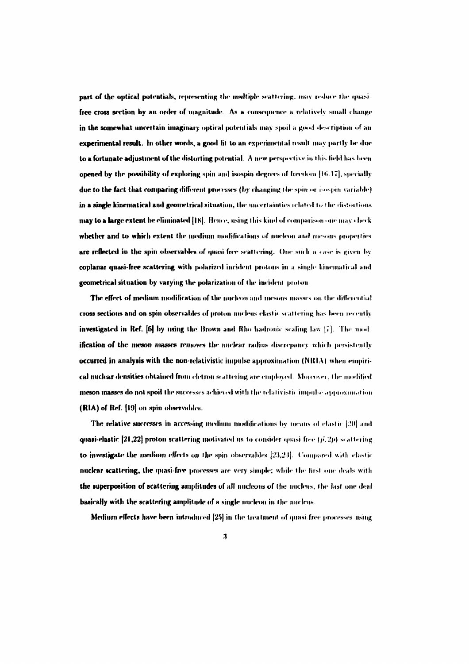**part of the optical potentials, representing the multiple scattering, may reduce the quasi**free cross section by an order of magnitude. As a consequence a relatively small change in the somewhat uncertain imaginary optical potentials may spoil a good description of an **experimental result.** In other words, a good fit to an experimental result may partly be due to a fortunate adjustment of the distorting potential. A new perspective in this field has been **opened by the possibility of exploring spin and isospin degrees of freedom [Hi.17], specially** due to the fact that comparing different processes (by changing the spin or isospin variable) in a single kinematical and geometrical situation, the uncertainties related to the distortions **may to a large extent be eliminated [18].** Hence, using this kind of comparison one may check **whether and to which extent the medium modifications of nucleon and mesons properties are reflected in the spin observables of quasi free scattering. One such a case is given by coplanar quasi-free scattering with polarized incident protons in a single kinematical and geometrical situation by varying the polarization of the incident pinion**

The effect of medium modification of the nucleon and mesons masses on the differential cross sections and on spin observables of proton-nucleus elastic scattering has been recently **investigated** in Ref.  $[6]$  by using the Brown and Rho hadronic scaling law  $[7]$ . The mod $ification of the meson masses removes the nuclear radius discrepancy which persistently$ **occurred** in analysis with the non-relativistic impulse approximation (NRIA) when empirical nuclear densities obtained from eletron scattering are employed. Moreover, the modified meson masses do not spoil the successes achieved with the relativistic impulse approximation (MA) of **Ref.** (19] on spin observable».

The relative successes in accessing medium modifications by means of elastic [20] and quasi-elastic [21,22] proton scattering motivated us to consider quasi free  $(\vec{p}, 2\vec{p})$  scattering to investigate the medium effects on the spin observables  $[23,24]$ . Compared with elastic nuclear scattering, the quasi-free processes are very simple; while the first one deals with the superposition of scattering amplitudes of all nucleons of the nucleus, the last one deal basically with the scattering amplitude of a single nucleon in the nucleus.

Medium effects have been introduced  $[25]$  in the treatment of quasi-free processes using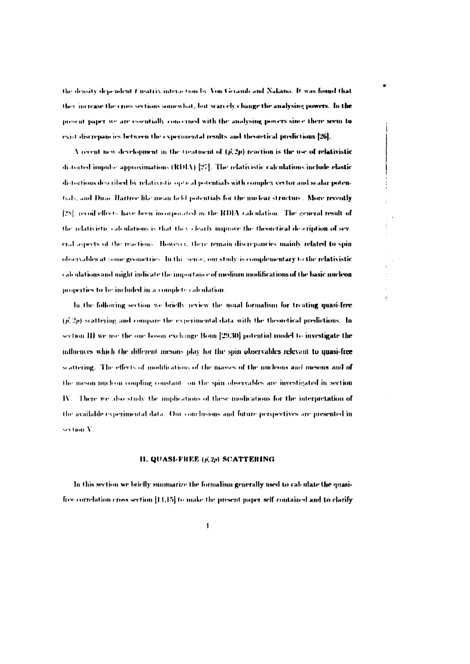the density dependent I matrix interaction by Von Gerarib and Nakano. It was found that they increase the cross sections somewhat, but scare ely change the analysing powers. In the present paper we are essentially concerned with the analysing powers since there seem to exist discrepancies between the experimental results and theoretical predictions [26].

A recent new development in the treatment of  $(\vec{p}, 2p)$  reaction is the use of relativistic distorted impulse approximations (RDIA)  $[27]$ . The relativistic calculations include clastic distortions described by relativistic optical potentials with complex vector and scalar potentials, and Dirac Hartree like mean held potentials for the nuclear structure. More recently [28], recoil effects have been incorporated in the RDIA calculation. The general result of the relativistic calculations is that they clearly improve the theoretical description of sev eral aspects of the reactions. However, there remain discrepancies mainly related to spin observables at some geometries. In this sense, our study is complementary to the relativistic calculations and might indicate the importance of medium modifications of the basic nucleon properties to be included in a complete calculation

In the following section we briefly review the usual formalism for treating quasi-free  $(p, 2p)$  scattering and compare the experimental data with the theoretical predictions. In section III we use the one boson exchange Bonn [29.30] potential model to investigate the influences which the different mesons play for the spin observables relevant to quasi-free scattering. The effects of modifications of the masses of the nucleons and mesons and of the meson nucleon coupling constants on the spin observables are investigated in section IV. There we also study the implications of these modications for the interpretation of the available experimental data. Our conclusions and future perspectives are presented in section V.

#### **H. QUASI-FREE (p. 2p) SCATTERING**

In this section we briefly summarize the formalism generally used to calculate the quasifree correlation cross section [14,15] to make the present paper self-contained and to clarify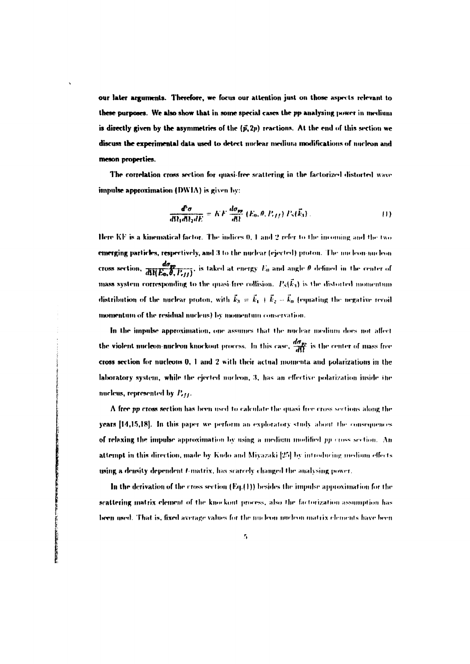our later arguments. Therefore, we focus our attention just on those aspects relevant to these purposes. We also show that in some special cases the pp analysing power in medium is directly given by the asymmetries of the  $(\vec{p}, 2p)$  reactions. At the end of this section we discuss the experimental data used to detect nuclear medium modifications of nucleon and meson properties.

The correlation cross section for quasi-free scattering in the factorized distorted wave impulse approximation (DWIA) is given by:

$$
\frac{d^5\sigma}{d\Omega_1 d\Omega_2 dE} = K F \frac{d\sigma_{pp}}{d\Omega} (E_0, \theta, P_{eff}) P_S(\vec{k}_3) \tag{1}
$$

Here KF is a kinematical factor. The indices 0, 1 and 2 refer to the incoming and the two emerging particles, respectively, and 3 to the nuclear (ejected) proton. The nucleon-nucleon cross section,  $\frac{d\sigma_{\text{FP}}}{d\Omega(E_0,\theta,P_{eff})}$ , is taked at energy  $E_0$  and angle  $\theta$  defined in the center of mass system corresponding to the quasi-free collision.  $P_S(\vec{k}_3)$  is the distorted momentum distribution of the nuclear proton, with  $\vec{k}_3 = \vec{k}_1 + \vec{k}_2 - \vec{k}_0$  (equating the negative recoil momentum of the residual nucleus) by momentum conservation.

In the impulse approximation, one assumes that the nuclear medium does not affect the violent nucleon-nucleon knockout process. In this case,  $\frac{d\sigma_{pp}}{d\Omega}$  is the center of mass free cross section for nucleons 0, 1 and 2 with their actual momenta and polarizations in the laboratory system, while the ejected nucleon, 3, has an effective polarization inside the nucleus, represented by  $P_{eff}$ .

A free pp cross section has been used to calculate the quasi-free cross sections along the years [14,15,18]. In this paper we perform an exploratory study about the consequences of relaxing the impulse approximation by using a medium modified  $pp$  cross section. An attempt in this direction, made by Kudo and Miyazaki [25] by introducing medium effects using a density dependent f-matrix, has scarcely changed the analysing power.

In the derivation of the cross section  $(Eq_{\epsilon}(1))$  besides the impulse approximation for the scattering matrix element of the knockout process, also the factorization assumption has been used. That is, fixed average values for the nucleon-nucleon matrix elements have been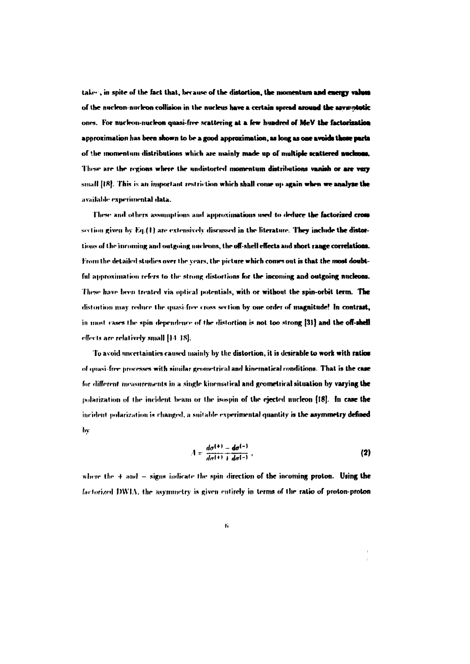take-, in spite of the fact that, because of the distortion, the momentum and energy values **of lhe nueleon-nuclron collision in tlie nucleus have a certain spread around the asywntotic ones. For nucleon-nucleon quasi-free scattering at a few hundred of MeV the factorisatioa** approximation has been shown to be a good approximation, as long as one avoids those parts of the momentum distributions which are mainly made up of multiple scattered nucleons. These are the regions where the undistorted momentum distributions vanish or are very **small ||fi|. This is an important restriction which shall come up again when we analyse the ;iv;iilal>le experimental data.**

**These ami others assumptions ami approximations used to deduce the factorized cross** section given by Eq.(1) are extensively discussed in the literature. They include the distor**tions of the incoming and outgoing urn leons, thr off-shell effects and short range correlations. I'roni llir drtailrd studies over the years, the pirtnre which comes out is that the most doubt**ful approximation refers to the strong distortions for the incoming and outgoing nucleons. These have been treated via optical potentials, with or without the spin-orbit term. The distortion may reduce the quasi-free cross section by one order of magnitude! In contrast, in most cases the spin dependence of the distortion is not too strong [31] and the off-shell **effects are relatively small [14 IS).**

To avoid uncertainties caused mainly by the distortion, it is desirable to work with ratios of quasi-free processes with similar geometrical and kinematical conditions. That is the case for different measurements in a single kinematical and geometrical situation by varying the polarization of the incident beam or the isospin of the ejected nucleon (18). In case the **incident polarization is changed, a suitable experimental quantity is the asymmetry defined by**

$$
A = \frac{d\sigma^{(+)} - d\sigma^{(-)}}{d\sigma^{(+)} + d\sigma^{(-)}},
$$
 (2)

where the  $+$  and  $-$  signs indicate the spin direction of the incoming proton. Using the factorized DWIA, the asymmetry is given entirely in terms of the ratio of proton-proton

ť.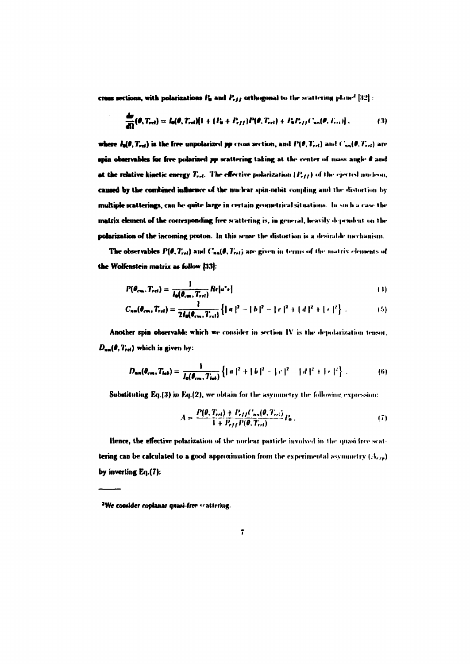cross sections, with polarizations  $P_0$  and  $P_{eff}$  orthogonal to the scattering plane<sup>2</sup> [32]:

$$
\frac{d\sigma}{d\Omega}(\theta, T_{rel}) = I_0(\theta, T_{rel})\{1 + (P_0 + P_{eff})P(\theta, T_{rel}) + P_0P_{eff}C_{un}(\theta, T_{rel})\},
$$
(3)

where  $I_n(\theta, T_{rel})$  is the free unpolarized pp cross section, and  $P(\theta, T_{rel})$  and  $C_{nn}(\theta, T_{rel})$  are spin observables for free polarized pp scattering taking at the center of mass angle  $\theta$  and at the relative kinetic energy  $T_{rel}$ . The effective polarization  $\{P_{eff}\}$  of the ejected nucleon, caused by the combined influence of the nuclear spin-orbit coupling and the distortion by multiple scatterings, can be quite large in certain geometrical situations. In such a case the matrix element of the corresponding free scattering is, in general, heavily dependent on the polarization of the incoming proton. In this sense the distortion is a desirable mechanism.

The observables  $P(\theta, T_{rel})$  and  $C_{nn}(\theta, T_{rel})$  are given in terms of the matrix elements of the Wolfenstein matrix as follow [33]:

$$
P(\theta_{cm}, T_{rel}) = \frac{1}{l_0(\theta_{cm}, T_{rel})} Re[a^*e]
$$
 (1)

$$
C_{nm}(\theta_{cm}, T_{rel}) = \frac{1}{2I_0(\theta_{cm}, T_{rel})} \left\{ ||a||^2 - ||b||^2 - ||c||^2 + ||d||^2 + ||e||^2 \right\}.
$$
 (5)

Another spin observable which we consider in section IV is the depolarization tensor.  $D_{nn}(\theta, T_{rel})$  which is given by:

$$
D_{nm}(\theta_{cm}, T_{lab}) = \frac{1}{I_0(\theta_{cm}, T_{lab})} \left\{ ||a||^2 + ||b||^2 - ||c||^2 + ||d||^2 + ||c||^2 \right\}.
$$
 (6)

**Substituting Eq.(3) in Eq.(2), we obtain for the asymmetry the following expression:** 

$$
A = \frac{P(\theta, T_{rel}) + P_{eff}(T_{nn}(\theta, T_{rel}))}{1 + P_{eff}(P(\theta, T_{rel}))} P_0
$$
 (7)

**Hence, the effective polarization of the nuclear particle involved in the quasi free scat**tering can be calculated to a good approximation from the experimental asymmetry  $(A_{r,s})$ by inverting Eq.(7):

<sup>&</sup>lt;sup>2</sup>We consider coplanar quasi-free scattering.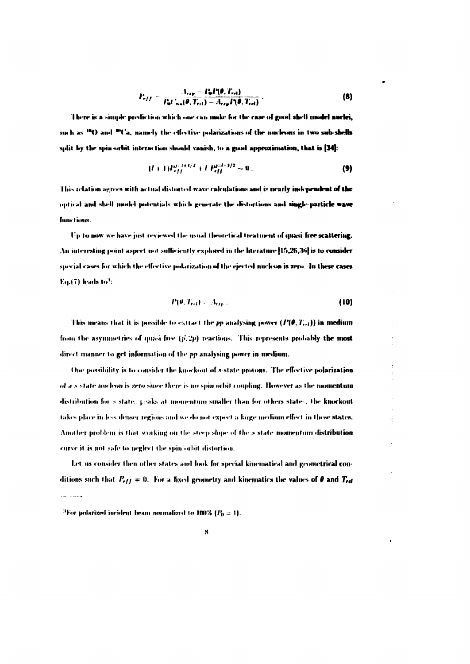$$
P_{eff} = \frac{A_{rep} - P_{0}P(\theta, T_{rel})}{P_{0}C_{nn}(\theta, T_{rel}) - A_{rep}P(\theta, T_{rel})}
$$
 (8)

There is a simple prediction which one can make for the case of good shell model nuclei. such as <sup>16</sup>O and <sup>96</sup>Ca, namely the effective polarizations of the nucleons in two sub-shells split by the spin-orbit interaction should vanish, to a good approximation, that is [34]:

$$
(l+1)P_{eff}^{j+l+1/2} + l P_{eff}^{j+l+1/2} \sim 0.
$$
 (9)

This relation agrees with actual distorted wave calculations and is nearly independent of the optical and shell model potentials which generate the distortions and single-particle wave functions.

Up to now we have just reviewed the usual theoretical treatment of quasi-free scattering. An interesting point aspect not sufficiently explored in the literature [15,26,36] is to consider special cases for which the effective polarization of the ejected nucleon is zero. In these cases  $En(7)$  leads to?:

$$
P(\theta, T_{rel}) = A_{exp} \tag{10}
$$

This means that it is possible to extract the pp analysing power  $(P(\theta, T_{rel}))$  in medium from the asymmetries of quasi-free  $(p, 2p)$  reactions. This represents probably the most direct manner to get information of the pp analysing power in medium.

One possibility is to consider the knockout of s-state protons. The effective polarization of a s-state nucleon is zero since there is no spin orbit coupling. However as the momentum distribution for sistate, neaks at momentum smaller than for others states. the knockout takes place in less denser regions and we do not expect a large medium effect in these states. Another problem is that working on the steep slope of the s state momentum distribution curve it is not safe to neglect the spin orbit distortion.

Let us consider then other states and look for special kinematical and geometrical conditions such that  $P_{eff} = 0$ . For a fixed geometry and kinematics the values of  $\theta$  and  $T_{rel}$ ال<br>موسيقات المرد

<sup>&</sup>lt;sup>3</sup>For polarized incident beam normalized to 100%  $(P_0 = 1)$ .

 $\boldsymbol{\mathcal{S}}$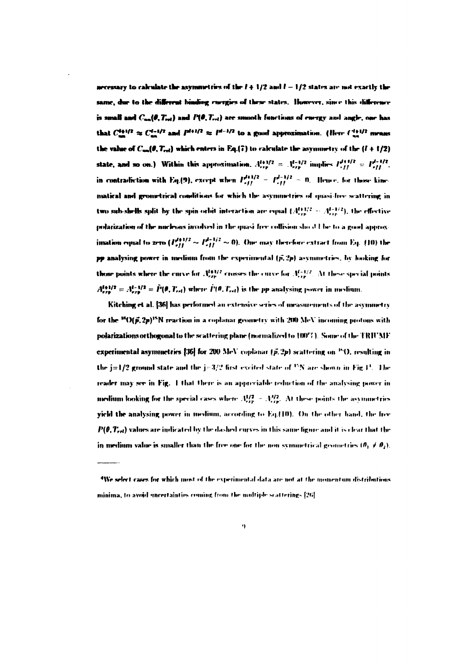necessary to calculate the asymmetries of the  $l + 1/2$  and  $l - 1/2$  states are not exactly the same, due to the different binding currgies of these states. However, since this difference is small and  $C_{n-}(\theta, T_{\text{rel}})$  and  $P(\theta, T_{\text{rel}})$  are smooth functions of energy and angle, one has that  $C_{-}^{1+1/2} \approx C_{-}^{1+1/2}$  and  $P^{1+1/2} \approx P^{1-1/2}$  to a guid approximation. (Here  $C_{-}^{1+1/2}$  means the value of  $C_{nn}(\theta, T_{rel})$  which enters in Eq.(7) to calculate the asymmetry of the  $(l + 1/2)$ state, and so on.) Within this approximation.  $A_{\mu\nu}^{(+)2} = A_{\mu\nu}^{(-)2}$  implies  $P_{\nu}^{(+)2} = P_{\nu}^{(-)2}$ . in contradiction with Eq.(9), except when  $P_{eff}^{d+1/2} = P_{eff}^{d+1/2} = 0$ . Hence, for those kinematical and geometrical conditions for which the asymmetries of quasi-free scattering in two sub-shells split by the spin-orbit interaction are equal  $(A_{\text{crit}}^{1+1/2} - A_{\text{crit}}^{1+1/2})$ , the effective polarization of the nucleons involved in the quasi-free collision should be to a good approx imation equal to zero  $(P_{eff}^{J+1/2} \sim P_{eff}^{J-1/2} \sim 0)$ . One may therefore extract from Eq. (10) the pp analysing power in medium from the experimental  $(\tilde{p}, 2p)$  asymmetries, by looking for those points where the curve for  $A_{\text{ZIP}}^{I43/2}$  crosses the curve for  $A_{\text{ZIP}}^{I-1/2}$ . At these special points  $A_{\text{ren}}^{l+1/2} = A_{\text{ren}}^{l-1/2} = \tilde{P}(\theta, T_{\text{rel}})$  where  $\tilde{P}(\theta, T_{\text{rel}})$  is the pp analysing power in medium.

Kitching et al. [36] has performed an extensive series of measurements of the asymmetry for the <sup>16</sup>O( $\vec{p}$ ,  $2\vec{p}$ )<sup>15</sup>N reaction in a coplanar geometry with 200 MeV incoming protons with polarizations orthogonal to the scattering plane (normalized to 100°7). Some of the TRIUMF experimental asymmetries [36] for 200 MeV coplanar  $(\vec{p}, 2p)$  scattering on "O, resulting in the  $j=1/2$  ground state and the  $j=3/2$  first excited state of <sup>15</sup>N are shown in Fig.1<sup>1</sup>. The reader may see in Fig. 1 that there is an appreciable reduction of the analysing power in medium looking for the special cases where  $A_{\text{exp}}^{1/2} = A_{\text{exp}}^{3/2}$ . At these points the asymmetries yield the analysing power in medium, according to Eq.(10). On the other hand, the free  $P(\theta, T_{rel})$  values are indicated by the dashed curves in this same figure and it is clear that the in medium value is smaller than the free one for the non-symmetrical geometries  $(\theta_1 \neq \theta_2)$ .

<sup>&</sup>lt;sup>4</sup>We select cases for which most of the experimental data are not at the momentum distributions minima, to avoid uncertainties coming from the multiple scatterings [26].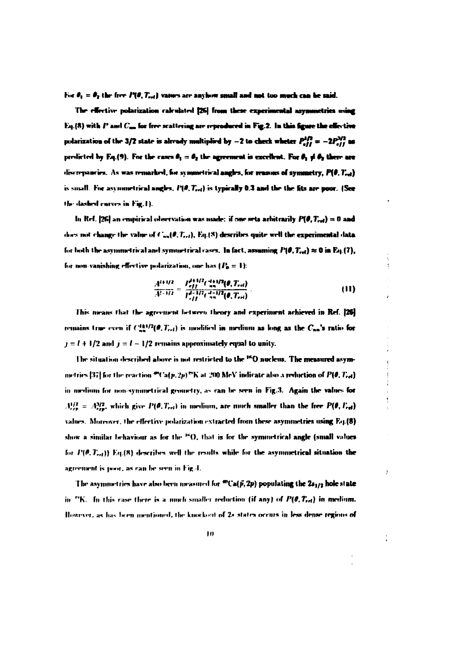For  $\theta_1 = \theta_2$  the free  $P(\theta, T_{rel})$  values are anyhow small and not too much can be said.

The effective nolarization calculated [26] from these experimental asymmetries using Eq. (8) with  $P$  and  $C_{\text{max}}$  for free scattering are reproduced in Fig.2. In this figure the effective polarization of the 3/2 state is already multiplied by -2 to check wheter  $P_{eff}^{1/2} = -2P_{eff}^{3/2}$  as prolicted by Eq.(9). For the cases  $\theta_1 = \theta_2$  the agreement is excellent. For  $\theta_1 \neq \theta_2$  there are discrepancies. As was remarked, for symmetrical angles, for reasons of symmetry,  $P(\theta, T_{rel})$ is small. For asymmetrical angles,  $P(\theta, T_{rel})$  is typically 0.3 and the the fits are poor. (See the dashed curves in Fig.1).

In Ref. [26] an empirical observation was made: if one sets arbitrarily  $P(\theta, T_{rel}) = 0$  and does not change the value of  $C_{nn}(\theta, T_{rel}), Eq.(8)$  describes quite well the experimental data for both the asymmetrical and symmetrical cases. In fact, assuming  $P(\theta, T_{rel}) \approx 0$  in Eq.(7), for non-vanishing effective polarization, one has  $(P_n = 1)$ :

$$
\frac{A^{i+1/2}}{A^{i-1/2}} = \frac{P_{eff}^{i+1/2}(\frac{A+1/2}{n\alpha}(0, T_{rel}))}{P_{eff}^{i-1/2}(\frac{A-1/2}{n\alpha}(0, T_{rel}))}
$$
(11)

ÿ

This means that the agreement between theory and experiment achieved in Ref. [26] remains true even if  $C_{nn}^{(k)/2}(\theta, T_{rel})$  is modified in medium as long as the  $C_{nn}$ 's ratio for  $j = l + 1/2$  and  $j = l - 1/2$  remains approximately equal to unity.

The situation described above is not restricted to the <sup>16</sup>O nucleus. The measured asymmetrics [37] for the reaction  $\mathcal{P}(C_{\mathbf{a}}(p,2p)\mathcal{P}K$  at 200 MeV indicate also a reduction of  $P(\emptyset,T_{\mathbf{c}\mathbf{d}})$ in medium for non-symmetrical geometry, as can be seen in Fig.3. Again the values for  $A_{\text{exp}}^{1/2} = A_{\text{exp}}^{3/2}$ , which give  $P(\theta, T_{\text{ref}})$  in medium, are much smaller than the free  $P(\theta, T_{\text{ref}})$ values. Moreover, the effective polarization extracted from these asymmetries using Eq.(8) show a similar behaviour as for the  $\rm{^{16}O.}$  that is for the symmetrical angle (small values for  $P(\theta, T_{rel})$ ) Eq.(8) describes well the results while for the asymmetrical situation the agreement is poor, as can be seen in Fig.4.

The asymmetries have also been measured for  $^mCa(\vec{p},2p)$  populating the  $2s_{1/2}$  hole state in  $^{80}$ K. In this case there is a numb smaller reduction (if any) of  $P(\theta, T_{rel})$  in medium. However, as has been mentioned, the knockout of 2s states occurs in less dense regions of

 $|<sub>0</sub>$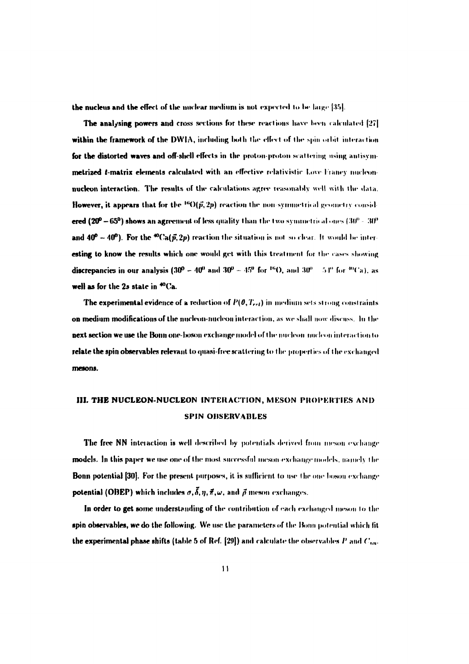the nucleus and the effect of the nuclear medium is not expected to be large [35].

The analysing powers and cross sections for these reactions have been calculated [27] within the framework of the DWIA, including both the effect of the spin orbit interaction for the distorted waves and off-shell effects in the proton-proton scattering using antisymmetrized t-matrix elements calculated with an effective relativistic Love Francy mucleonnucleon interaction. The results of the calculations agree reasonably well with the data. **However, it appears that for the**  $^{16}O(\vec{p}, 2p)$  **reaction the non-symmetrical geometry consid**ered ( $20^{\circ} - 65^{\circ}$ ) shows an agreement of less quality than the two symmetrical ones (30° - 30° and  $40^{\circ} - 40^{\circ}$ ). For the <sup>40</sup>Ca( $\vec{p}$ , 2p) reaction the situation is not so clear. It would be interesting to know the results which one would get with this treatment for the cases showing **discrepancies in our analysis (30<sup>0</sup> – 40<sup>0</sup> and 30<sup>0</sup> – 45<sup>0</sup> for <sup>16</sup>O, and 30<sup>0</sup> – 54<sup>0</sup> for <sup>40</sup>Ca), as** well as for the 2s state in <sup>40</sup>Ca.

The experimental evidence of a reduction of  $P(\theta, T_{rel})$  in medium sets strong constraints on medium modifications of the nucleon-nucleon interaction, as we shall now discuss. In the next section we use the Bonn one-boson exchange model of the nucleon micleon interaction to relate the spin observables relevant to quasi-free scattering to the properties of the exchanged mesons.

## III. THE NUCLEON-NUCLEON INTERACTION, MESON PROPERTIES AND **SPIN OBSERVABLES**

The free NN interaction is well described by potentials derived from meson exchange models. In this paper we use one of the most successful meson-exchange models, namely the **Bonn potential [30]. For the present purposes, it is sufficient to use the one boson exchange** potential (OBEP) which includes  $\sigma$ ,  $\vec{\delta}$ ,  $\eta$ ,  $\vec{\pi}$ ,  $\omega$ , and  $\vec{\rho}$  meson exchanges.

In order to get some understanding of the contribution of each exchanged meson to the spin observables, we do the following. We use the parameters of the Bonn potential which fit the experimental phase shifts (table 5 of Ref. [29]) and calculate the observables P and  $C_{nn}$ .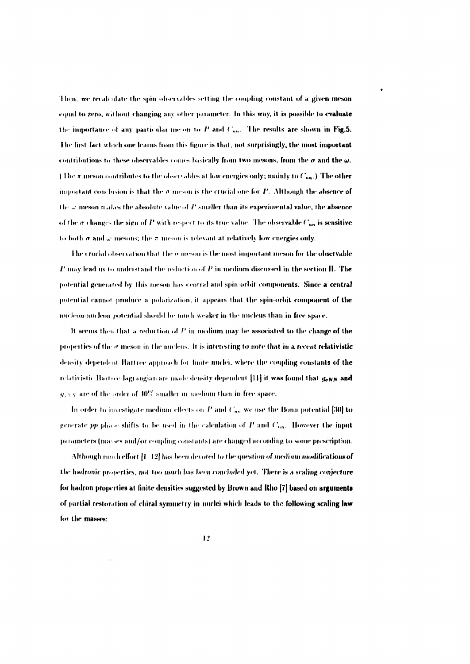Then, we recalculate the spin observables setting the coupling constant of a given meson equal to zero, without changing any other parameter. In this way, it is possible to evaluate the importance of any particular meson to  $P$  and  $C_{nn}$ . The results are shown in Fig.5. The first fact which one learns from this figure is that, not surprisingly, the most important contributions to these observables comes basically from two mesons, from the  $\sigma$  and the  $\omega$ . (The  $\pi$  meson contributes to the observables at low energies only; mainly to  $C_{nn}$ .) The other important conclusion is that the  $\sigma$  meson is the crucial one for  $P$ . Although the absence of the  $\omega$  meson makes the absolute value of  $P$  smaller than its experimental value, the absence of the  $\sigma$  changes the sign of  $P$  with respect to its true value. The observable  $C_{nn}$  is sensitive to both  $\sigma$  and  $\omega$  mesons; the  $\pi$  meson is relevant at relatively low energies only.

The crucial observation that the  $\sigma$  meson is the most important meson for the observable  $P$  may lead us to understand the reduction of  $P$  in medium discussed in the section IL. The potential generated by this meson has central and spin-orbit components. Since a central potential cannot produce a polarization, it appears that the spin-orbit component of the micleon-nucleon potential should be much weaker in the nucleus than in free space.

It seems then that a reduction of  $P$  in medium may be associated to the change of the properties of the  $\sigma$  meson in the nucleus. It is interesting to note that in a recent relativistic density dependent Hartree approach for finite nuclei, where the coupling constants of the relativistic Hartree lagrangian are made density dependent [11] it was found that gonn and  $q_{\perp}$  vy are of the order of  $40\%$  smaller in medium than in free space.

In order to investigate medium effects on P and  $C_{nn}$  we use the Bonn potential [30] to generate  $pp$  phase shifts to be used in the calculation of  $P$  and  $C_{nn}$ . However the input parameters (masses and/or coupling constants) are changed according to some prescription.

Although much effort [1-12] has been devoted to the question of medium modifications of the hadronic properties, not too much has been concluded yet. There is a scaling conjecture for hadron properties at finite densities suggested by Brown and Rho [7] based on arguments of partial restoration of chiral symmetry in nuclei which leads to the following scaling law for the masses: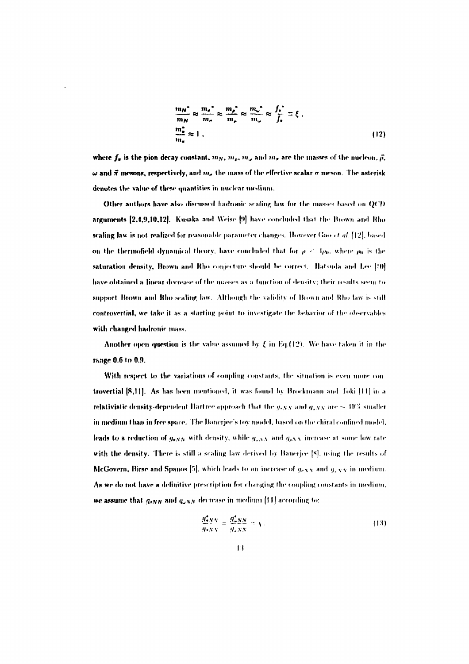$$
\frac{m_N^*}{m_N} \approx \frac{m_e^*}{m_e} \approx \frac{m_e^*}{m_e} \approx \frac{m_w^*}{m_w} \approx \frac{f_s^*}{f_s} \equiv \xi \tag{12}
$$

where  $f_x$  is the pion decay constant,  $m_N$ ,  $m_s$ ,  $m_w$  and  $m_s$  are the masses of the nucleon,  $\vec{\rho}$ ,  $\omega$  and  $\vec{\pi}$  mesons, respectively, and  $m_e$  the mass of the effective scalar  $\sigma$  meson. The asterisk denotes the value of these quantities in nuclear medium.

Other authors have also discussed hadronic scaling law for the masses based on OCD arguments [2,4,9,10,12]. Kusaka and Weise [9] have concluded that the Brown and Rho scaling law is not realized for reasonable parameter changes. However Gao et al. [12], based on the thermofield dynamical theory, have concluded that for  $\rho < 1\rho_0$ , where  $\rho_0$  is the saturation density, Brown and Rho conjecture should be correct. Hatsuda and Lee [10] have obtained a linear decrease of the masses as a function of density; their results seem to support Brown and Rho scaling law. Although the validity of Brown and Rho law is still controvertial, we take it as a starting point to investigate the behavior of the observables with changed hadronic mass.

Another open question is the value assumed by  $\xi$  in Eq.(12). We have taken it in the range 0.6 to 0.9.

With respect to the variations of coupling constants, the situation is even more controvertial [8,11]. As has been mentioned, it was found by Brockmann and Toki [11] in a relativistic density-dependent Hartree approach that the  $g_{\sigma NN}$  and  $g_{\sigma NN}$  are  $\sim 40\%$  smaller in medium than in free space. The Bancrice's toy model, based on the chiral confined model, leads to a reduction of  $g_{aNN}$  with density, while  $g_{aNN}$  and  $g_{eNN}$  increase at some low rate with the density. There is still a scaling law derived by Bancrice [8], using the results of McGovern, Birse and Spanos [5], which leads to an increase of  $g_{\text{eNN}}$  and  $g_{\text{eNN}}$  in medium. As we do not have a definitive prescription for changing the coupling constants in medium. we assume that  $g_{\sigma NN}$  and  $g_{\omega NN}$  decrease in medium [11] according to:

$$
\frac{g_{\sigma}^2 N N}{g_{\sigma} N N} = \frac{g_{\omega}^2 N N}{g_{\omega} N N} = \sqrt{\frac{g_{\omega}^2 N N}{g_{\omega} N N}} \tag{13}
$$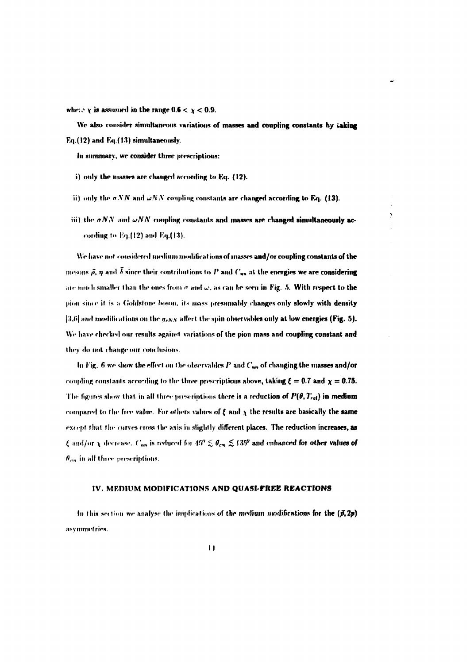where  $\chi$  is assumed in the range 0.6  $\leq \chi < 0.9$ .

We also consider simultaneous variations of masses and coupling constants by taking Eq.(12) and Eq.(13) simultaneously.

In summary, we consider three prescriptions:

- i) only the masses are changed according to Eq. (12).
- ii) only the  $\sigma NN$  and  $\omega NN$  coupling constants are changed according to Eq. (13).
- (iii) the  $\sigma NN$  and  $\omega NN$  coupling constants and masses are changed simultaneously according to Eq.(12) and Eq.(13).

We have not considered medium modifications of masses and/or coupling constants of the mesons  $\vec{\rho}$ ,  $\eta$  and  $\vec{\delta}$  since their contributions to P and C<sub>nn</sub> at the energies we are considering are much smaller than the ones from  $\sigma$  and  $\omega$ , as can be seen in Fig. 5. With respect to the pion since it is a Goldstone boson, its mass presumably changes only slowly with density [3,6] and modifications on the  $g_{\sigma NN}$  affect the spin observables only at low energies (Fig. 5). We have checked our results against variations of the pion mass and coupling constant and they do not change our conclusions.

In Fig. 6 we show the effect on the observables  $P$  and  $C_{nn}$  of changing the masses and/or coupling constants according to the three prescriptions above, taking  $\xi = 0.7$  and  $\chi = 0.75$ . The figures show that in all three prescriptions there is a reduction of  $P(\theta, T_{rel})$  in medium compared to the free value. For others values of  $\xi$  and  $\chi$  the results are basically the same except that the curves cross the axis in slightly different places. The reduction increases, as  $\xi$  and/or  $\chi$  decrease.  $C_{nn}$  is reduced for  $45'' \lesssim \theta_{cm} \lesssim 135^9$  and enhanced for other values of  $\theta_{cm}$  in all three prescriptions.

## IV. MEDIUM MODIFICATIONS AND QUASI-FREE REACTIONS

In this section we analyse the implications of the medium modifications for the  $(\vec{p}, 2p)$ asymmetries.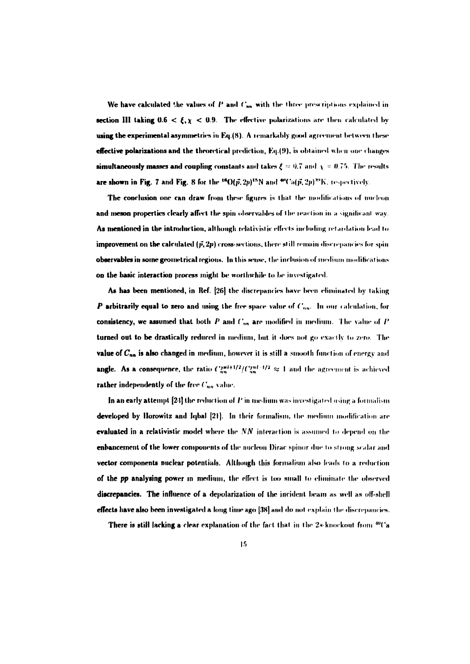We have calculated the values of  $P$  and  $C_{nn}$  with the three prescriptions explained in section III taking  $0.6 < \xi, \chi < 0.9$ . The effective polarizations are then calculated by using the experimental asymmetries in Eq.(8). A remarkably good agreement between these effective polarizations and the theoretical prediction, Eq.(9), is obtained when one changes simultaneously masses and coupling constants and takes  $\xi = 0.7$  and  $\chi = 0.75$ . The results are shown in Fig. 7 and Fig. 8 for the <sup>16</sup>O( $\vec{p}$ , 2p)<sup>15</sup>N and <sup>40</sup>Ca( $\vec{p}$ , 2p)<sup>30</sup>K, respectively.

The conclusion one can draw from these figures is that the modifications of nucleon and meson properties clearly affect the spin observables of the reaction in a significant way. As mentioned in the introduction, although relativistic effects including retardation lead to **improvement on the calculated**  $(\vec{p}, 2p)$  **cross-sections, there still remain discrepancies for spin** observables in some geometrical regions. In this sense, the inclusion of medium modifications on the basic interaction process might be worthwhile to be investigated.

As has been mentioned, in Ref. [26] the discrepancies have been climinated by taking P arbitrarily equal to zero and using the free space value of  $C_{nn}$ . In our calculation, for consistency, we assumed that both  $P$  and  $C_{nn}$  are modified in medium. The value of  $P$ turned out to be drastically reduced in medium, but it does not go exactly to zero. The value of  $C_{nn}$  is also changed in medium, however it is still a smooth function of energy and angle. As a consequence, the ratio  $C_{nn}^{(\pi+1)/2}/C_{nn}^{(\pi+1)/2} \approx 1$  and the agreement is achieved rather independently of the free  $C_{nn}$  value.

In an early attempt  $[24]$  the reduction of  $P$  in medium was investigated using a formalism developed by Horowitz and Iqbal [21]. In their formalism, the medium modification are **evaluated in a relativistic model where the**  $NN$  **interaction is assumed to depend on the** enhancement of the lower components of the nucleon Dirac spinor due to strong scalar and **vector components nuclear potentials.** Although this formalism also leads to a reduction of the pp analysing power in medium, the effect is too small to climinate the observed discrepancies. The influence of a depolarization of the incident beam as well as off-shell effects have also been investigated a long time ago [38] and do not explain the discrepancies.

**There is still lacking a clear explanation of the fact that in the 2s-knockout from <sup>40</sup>Ca**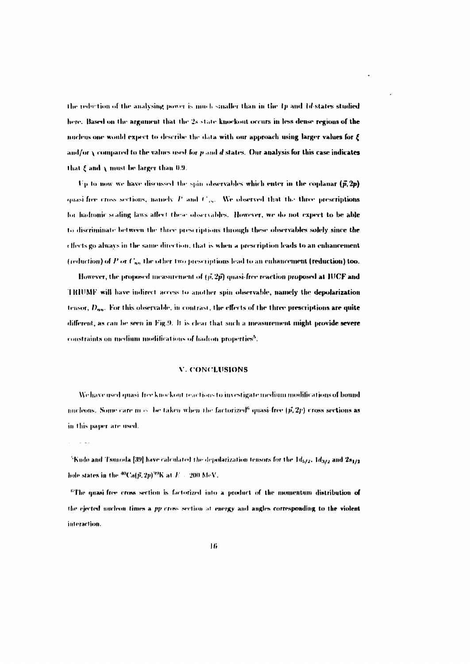the reduction of the analysing power is much smaller than in the 1p and 1d-states studied here. Based on the argument that the 2s state knockout occurs in less dense regions of the micleus one would expect to describe the data with our approach using larger values for E and/or  $\chi$  compared to the values used for  $p$  and  $d$  states. Our analysis for this case indicates that  $\xi$  and  $\chi$  must be larger than 0.9.

Up to now we have discussed the spin observables which enter in the coplanar  $(\vec{p}, 2p)$ quasi-free cross sections, namely P and  $C_{\text{obs}}$ . We observed that the three prescriptions for hadronic scaling laws affect these observables. However, we do not expect to be able to discriminate between the three prescriptions through these observables solely since the effects go always in the same direction, that is when a prescription leads to an enhancement (reduction) of P or  $C_{nn}$  the other two prescriptions lead to an enhancement (reduction) too.

However, the proposed measurement of  $(\vec{p}, 2\vec{p})$  quasi-free reaction proposed at IUCF and TRIUMF will have indirect access to another spin observable, namely the depolarization tensor,  $D_{nn}$ . For this observable, in contrast, the effects of the three prescriptions are quite different, as can be seen in Fig.9. It is clear that such a measurement might provide severe constraints on medium modifications of hadron properties<sup>5</sup>.

#### V. CONCLUSIONS

We have used quasi-free knockout reactions to investigate medium modifications of bound nucleons. Some care  $m \sim$  be taken when the factorized<sup>6</sup> quasi-free ( $\vec{p}, 2\vec{p}$ ) cross sections as in this paper are used.

 $\sim$  10  $\sigma$ 

<sup>&</sup>lt;sup>5</sup>Kudo and Tsunoda [39] have calculated the depolarization tensors for the  $1d_{5/2}$ ,  $1d_{3/2}$  and  $2s_{1/2}$ hole states in the  ${}^{40}Ca(\tilde{p},2p){}^{49}K$  at  $E=200$  MeV.

<sup>&</sup>lt;sup>6</sup>The quasi-free cross section is factorized into a product of the momentum distribution of the ejected nucleon times a pp cross section at energy and angles corresponding to the violent interaction.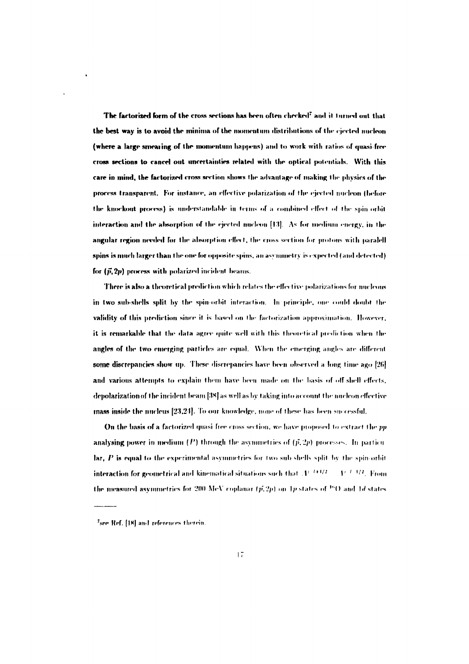The factorized form of the cross sections has been often checked<sup>?</sup> and it turned out that the best way is to avoid the minima of the momentum distributions of the cierted nucleon (where a large smearing of the momentum happens) and to work with ratios of quasi-free cross sections to cancel out uncertainties related with the optical potentials. With this care in mind, the factorized cross section shows the advantage of making the physics of the process transparent. For instance, an effective polarization of the cierted nucleon (before the knockout process) is understandable in terms of a combined effect of the spin orbit interaction and the absorption of the ejected nucleon [13]. As for medium energy, in the angular region needed for the absorption effect, the cross section for protons with paralell spins is much larger than the one for opposite spins, an asymmetry is expected (and detected) for  $(\vec{p}, 2p)$  process with polarized incident beams.

There is also a theoretical prediction which relates the effective polarizations for nucleons in two sub-shells split by the spin-orbit interaction. In principle, one could doubt the validity of this prediction since it is based on the factorization approximation. However, it is remarkable that the data agree quite well with this theoretical prediction when the angles of the two emerging particles are equal. When the emerging angles are different some discrepancies show up. These discrepancies have been observed a long time ago [26] and various attempts to explain them have been made on the basis of off-shell effects. depolarization of the incident beam [38] as well as by taking into account the nucleon effective mass inside the nucleus [23.24]. To our knowledge, none of these has been successful.

On the basis of a factorized quasi-free cross section, we have proposed to extract the pp analysing power in medium  $(P)$  through the asymmetries of  $(\vec{p}, 2p)$  processes. In particular  $\mathbf{a}_t$ ,  $P$  is equal to the experimental asymmetries for two sub-shells split by the spin-orbit interaction for geometrical and kinematical situations such that  $A^{1/4+1/2} = A^{1/4-1/2}$ . From the measured asymmetries for 200 MeV coplanar  $(\vec{p}, 2p)$  on 1p states of <sup>16</sup>O and 1d states

<sup>&</sup>lt;sup>7</sup>see Ref. [18] and references therein.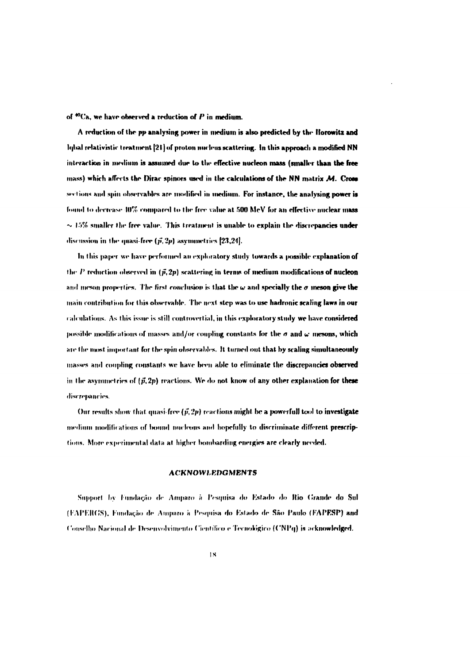**of '•"('a, we have observed a reduction of** *P* **in medium.**

**A reduction of the pj» analysing power in medium is also predicted by the Horowitz and lf|l>al relativistic treatment [21) of proton nucleus scattering. In this approach a modified NN interaction in medium is assumed due to the effective nucleon mass (smaller than the free mass) which afferts thr Dirac spinors used in the calculations of the NN matrix** *M.* **Cross** sections and spin observables are modified in medium. For instance, the analysing power is found to decrease 40% compared to the free value at 500 MeV for an effective nuclear mass  $\sim$  15% smaller the free value. This treatment is unable to explain the discrepancies under discussion in the quasi-free  $(\vec{p}, 2p)$  asymmetries  $[23,24]$ .

**In this paper we have performed an exploratory study towards a possible explanation of** the  $P$  reduction observed in  $(\vec{p}, 2p)$  scattering in terms of medium modifications of nucleon and meson properties. The first conclusion is that the  $\omega$  and specially the  $\sigma$  meson give the **main contribui ion for this observable. The next step was to use hadronic scaling laws in our** ralculations. As this issue is still controvertial, in this exploratory study we have considered **possible modifications of masses and/or coupling constants for the**  $\sigma$  **and**  $\omega$  **mesons, which** are the most important for the spin observables. It turned out that by scaling simultaneously **masses and coupling constants we have been able to eliminate the discrepancies observed** in the asymmetries of  $(\vec{p}, 2p)$  reactions. We do not know of any other explanation for these **discrepancies.**

Our results show that quasi-free  $(\vec{p}, 2p)$  reactions might be a powerfull tool to investigate **medium modifications of bound nucleous and hopefully to discriminate different prescrip**tions. More experimental data at higher bombarding energies are clearly needed.

## **ACKNOWLEDGMENTS**

 $S$ upport by Fundação de Amparo à Pesquisa do Estado do Rio Grande do Sul **(I AIM.HCS). lnnd«i;iH» de Ampnro** *»* **IVsquisa di> I'.slado de São f'aulo if-'APESP) and Conselln» Nacional de Desenvolvimento Científico e Tecnológico (CNIN|) is acknowledged.**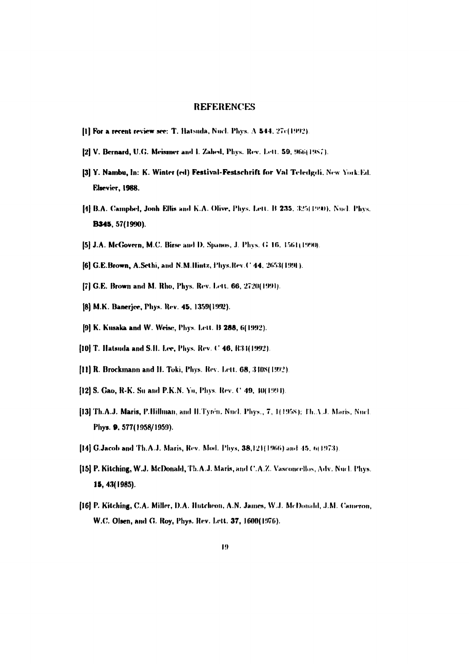## **REFERENCES**

- [1] For a recent review see: T. Hatsuda, Nucl. Phys. A 544, 27c(1992).
- [2] V. Bernard, U.G. Meissner and I. Zahed, Phys. Rev. Lett. 59, 966(1987).
- [3] Y. Nambu, In: K. Winter (ed) Festival-Festschrift for Val Teledgdi, New York:Ed. Elsevier, 1988.
- [4] B.A. Campbel, Jonh Ellis and K.A. Olive, Phys. Lett. B 235, 325(1990), Nucl. Phys. **B345, 57(1990).**
- [5] J.A. McGovern, M.C. Birse and D. Spanos, J. Phys. G 16, 1561(1990).
- [6] G.E.Brown, A.Sethi, and N.M.Hintz, Phys.Rev.C 44, 2653(1991).
- [7] G.E. Brown and M. Rho, Phys. Rev. Lett. 66, 2720(1991).
- [8] M.K. Banerjee, Phys. Rev. 45, 1359(1992).
- [9] K. Kusaka and W. Weise, Phys. Lett. B 288, 6(1992).
- [10] T. Hatsuda and S.H. Lee, Phys. Rev. C 46, R34(1992).
- [11] R. Brockmann and H. Toki, Phys. Rev. Lett. 68, 3408(1992).
- [12] S. Gao, R-K. Su and P.K.N. Yu, Phys. Rev. C 49, 10(1994).
- [13] Th.A.J. Maris, P.Billman, and H.Tyren, Nucl. Phys., 7, 1(1958); Th.A.J. Maris, Nucl. Phys. 9, 577(1958/1959).
- [14] G.Jacob and Th.A.J. Maris, Rev. Mod. Phys, 38,121(1966) and 45, 6(1973).
- [15] P. Kitching, W.J. McDonald, Th.A.J. Maris, and C.A.Z. Vasconcellos, Adv. Nucl. Phys. 15, 43(1985).
- [16] P. Kitching, C.A. Miller, D.A. Hutcheon, A.N. James, W.J. McDonald, J.M. Cameron, W.C. Olsen, and G. Roy, Phys. Rev. Lett. 37, 1600(1976).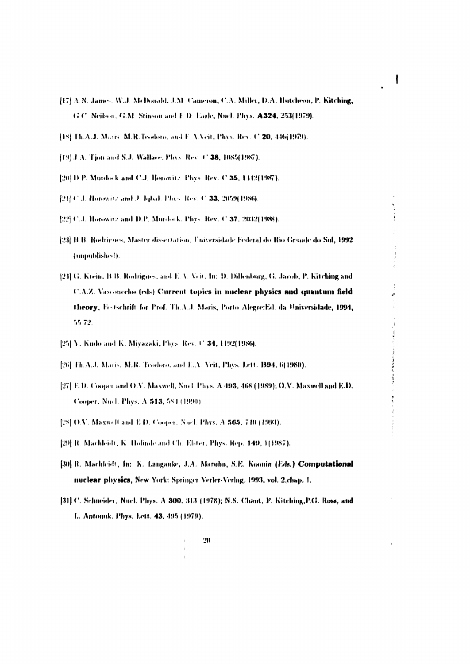- [17] A.N. James, W.J. McDonald, J.M. Cameron, C.A. Miller, D.A. Hutcheon, P. Kitching, G.C. Neilson, G.M. Stinson and E.D. Earle, Nucl. Phys. A324, 253(1979).
- [18] Th.A.J. Maris, M.R.Teodoro, and F.A.Veit, Phys. Rev. C.20, 446(1979).
- [19] J.A. Tion and S.J. Wallace, Plass Rev. C 38, 1085(1987).
- [20] D.P. Murdock and C.J. Horowitz, Plays. Rev. C.35, 1412(1987).
- [21] C.J. Horowitz and J. Iqbal, Phys. Rev. C.33, 2059(1986).
- [22] C.J. Horowitz and D.P. Murdock, Phys. Rev. C 37, 2032(1988).
- [23] B.B. Rodrigues, Master dissertation. Universidade Federal do Rio Grande do Sul, 1992 (unpublished).
- [24] G. Krein, B.B. Rodrigues, and E.A. Veit, In: D. Dillenburg, G. Jacob, P. Kitching and **C.A.Z.** Vasconcelos (eds) Current topics in nuclear physics and quantum field theory, Festschrift for Prof. Th.A.J. Maris, Porto Alegre:Ed. da Universidade, 1994, 55.72.
- [25] Y. Kudo and K. Miyazaki, Phys. Rev. C 34, 1192(1986).
- [26] Fh.A.J. Maris, M.R. Teodoro, and E.A. Veit, Phys. Lett. B94, 6(1980).
- [27] E.D. Cooper and O.V. Maxwell, Nocl. Plays. A 493, 468 (1989); O.V. Maxwell and E.D. Cooper, Nucl. Phys. A 513, 581 (1990).
- [28] O.V. Maxwell and E.D. Cooper. Nocl. Phys. A 565, 710 (1993).
- [29] R. Machleidt, K. Holimle and Ch. Elster, Phys. Rep. 149, 1(1987).
- [30] R. Machleidt, In: K. Langanke, J.A. Maruhn, S.E. Koonin (Eds.) Computational nuclear physics, New York: Springer Verler-Verlag, 1993, vol. 2, chap. 1.
- [31] C. Schneider, Nucl. Phys. A 300, 313 (1978); N.S. Chant, P. Kitching, P.G. Ross, and L. Antomik, Phys. Lett. 43, 495 (1979).

医月的复数发热 医角膜炎

 $\frac{1}{2}$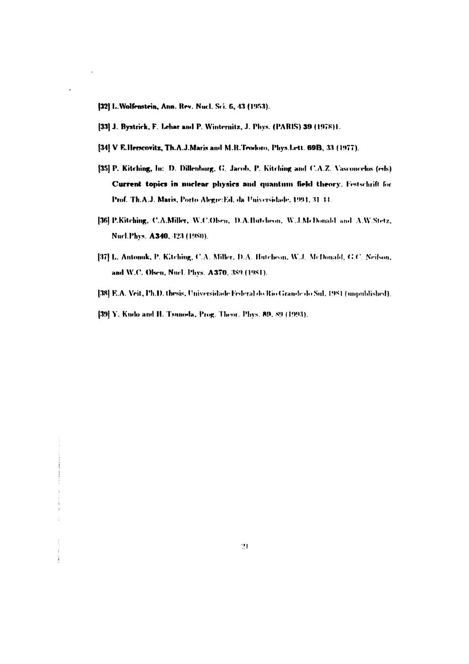- [32] L.Wolfenstein, Ann. Rev. Nucl. Sci. 6, 43 (1953).
- [33] J. Bystrick, F. Lehar and P. Winternitz, J. Phys. (PARIS) 39 (1978)1.
- [34] V E.Herscovitz, Th.A.J.Maris and M.R.Teodoro, Phys.Lett. 69B, 33 (1977).
- [35] P. Kitching, In: D. Dillenburg, G. Jacob, P. Kitching and C.A.Z. Vasconcelos (eds) Current topics in nuclear physics and quantum field theory, Festschrift for Prof. Th.A.J. Maris, Porto Alegre:Ed. da Universidade, 1994, 31-44.
- [36] P.Kitching, C.A.Miller, W.C.Olsen, D.A.Hutcheon, W.J.McDonald and A.W.Stetz, Nucl. Phys. A340, 423 (1980).
- [37] L. Antonuk, P. Kitching, C.A. Miller, D.A. Hutcheon, W.J. McDonald, G.C. Neilson, and W.C. Olsen, Nucl. Phys. A370, 389 (1981).
- [38] E.A. Veit, Ph.D. thesis, Universidade Federal do Rio Grande do Sul. 1981 (unpublished).
- [39] Y. Kudo and H. Tsunoda, Prog. Theor. Phys. 89, 89 (1993).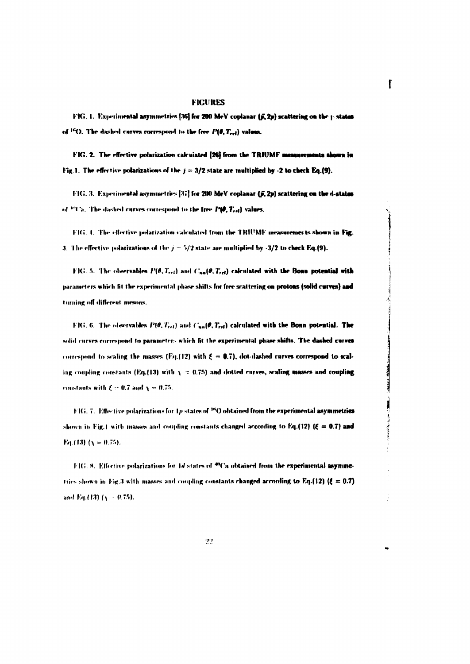## **FIGURES**

f

青

FIG. 1. Experimental asymmetries [36] for 200 MeV coplanar (j, 2p) scattering on the postates of <sup>16</sup>O. The dashed curves correspond to the free  $P(\theta, T_{rel})$  values.

FIG. 2. The effective polarization calculated [26] from the TRIUMF measurements shown in Fig. 1. The effective polarizations of the  $j = 3/2$  state are multiplied by -2 to check Eq.(9).

FIG. 3. Experimental asymmetries [37] for 200 MeV coplanar (5, 2p) scattering on the d-states of  $P(C_n)$ . The dashed curves correspond to the free  $P(0, T_{rel})$  values.

FIG. 4. The effective polarization calculated from the TRIUMF measurements shown in Fig. 3. The effective polarizations of the  $j = 5/2$  state are multiplied by -3/2 to check Eq.(9).

FIG. 5. The observables  $P(\theta, T_{rel})$  and  $C_{nn}(\theta, T_{rel})$  calculated with the Boan potential with parameters which fit the experimental phase shifts for free scattering on protons (solid curves) and turning off different mesons.

FIG. 6. The observables  $P(\theta, T_{rel})$  and  $C_{nn}(\theta, T_{rel})$  calculated with the Bonn potential. The solid curves correspond to parameters which fit the experimental phase shifts. The dashed curves correspond to scaling the masses (Eq.(12) with  $\xi = 0.7$ ), dot-dashed curves correspond to scaling coupling constants (Eq.(13) with  $\chi$  = 0.75) and dotted curves, scaling masses and coupling constants with  $\xi = 0.7$  and  $\chi = 0.75$ .

FIG. 7. Effective polarizations for 1p states of  $^{16}$ O obtained from the experimental asymmetries shown in Fig.1 with masses and coupling constants changed according to Eq.(12) ( $\xi = 0.7$ ) and Eq.(13)  $(\chi = 0.75)$ .

FIG. 8. Effective polarizations for 1d states of  $^{40}$ Ca obtained from the experimental asymmetries shown in Fig.3 with masses and coupling constants changed according to Eq.(12) ( $\xi = 0.7$ ) and Eq.(13)  $(y = 0.75)$ .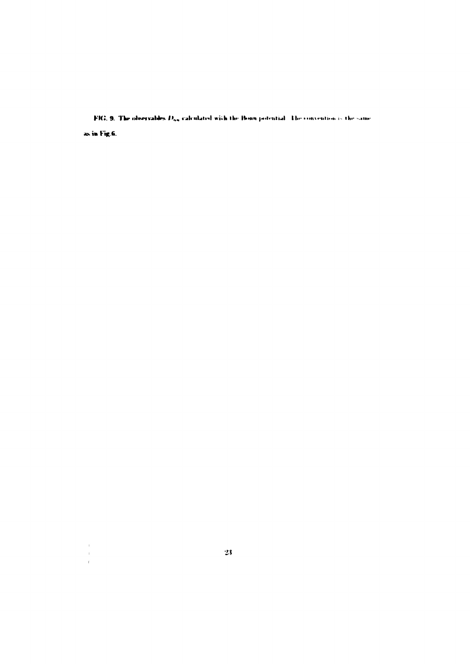FIG. 9. The observables  $D_{nn}$  calculated with the Bonn potential. The convention is the same as in Fig.6.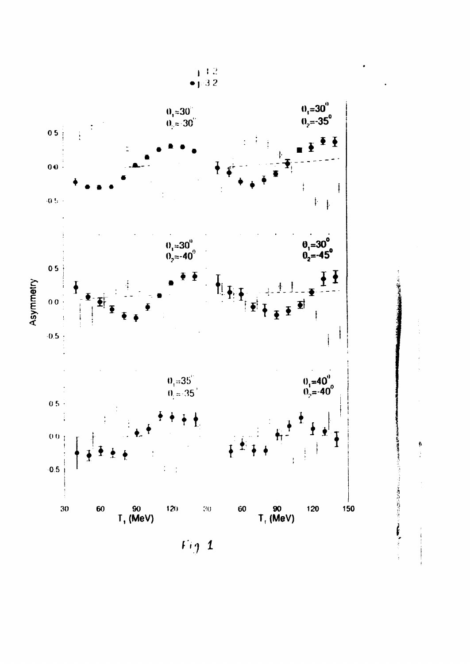

 $Fig. 1$ 

þ

 $\frac{1}{2}$ 

○ この方は、あるので、この時に、この時に、このこの

 $\frac{1}{4}$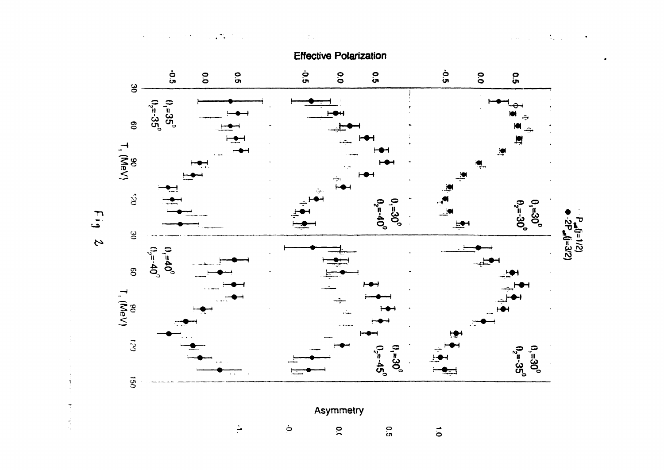

 $\Lambda_{\rm{max}}$  $\sqrt{2}$  .



 $E_{1,4}$ 

 $\frac{1}{3}$ 

 $\tilde{\mathcal{A}}$ 

 $\frac{1}{2}$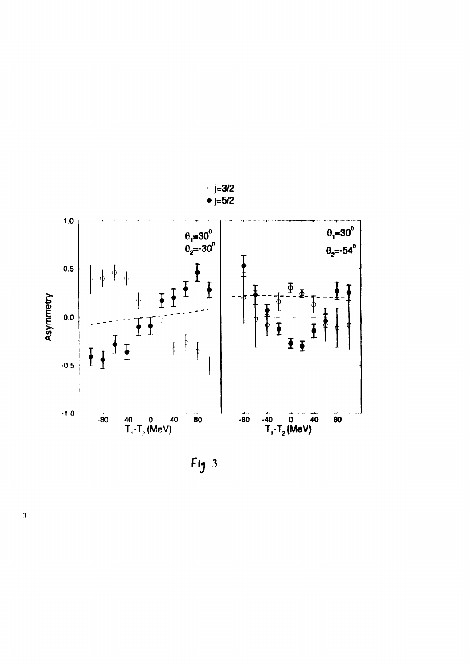

 $Fig 3$ 

 $\overline{0}$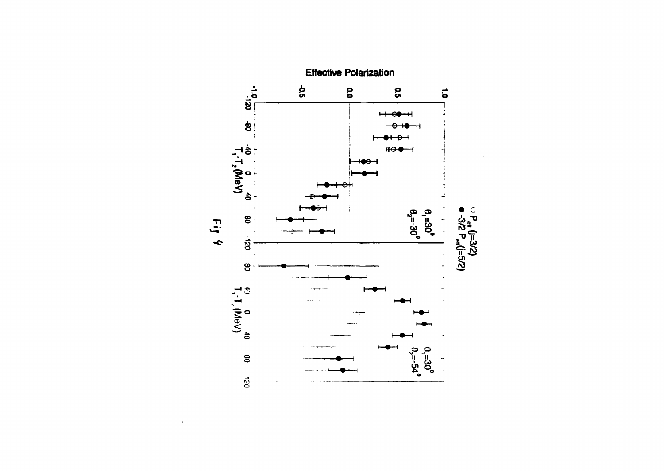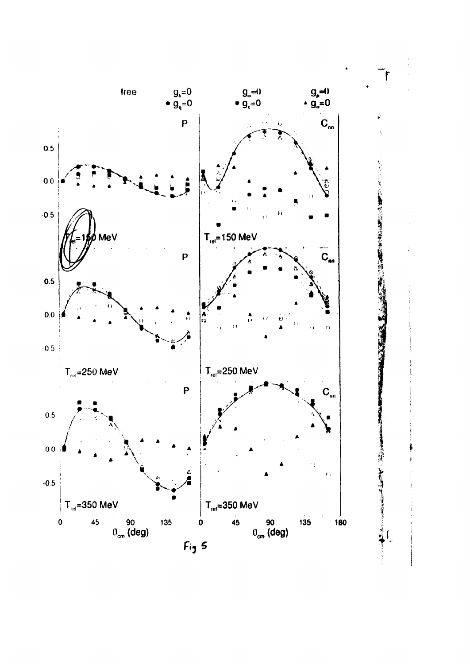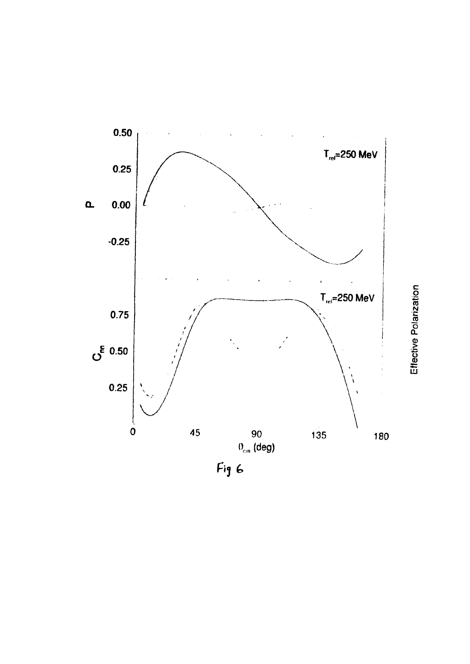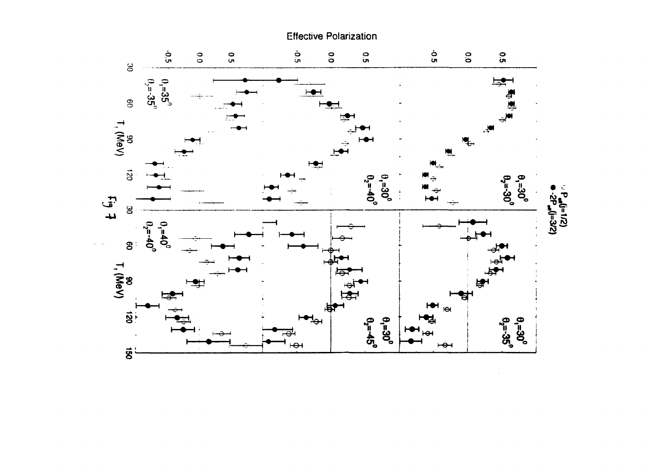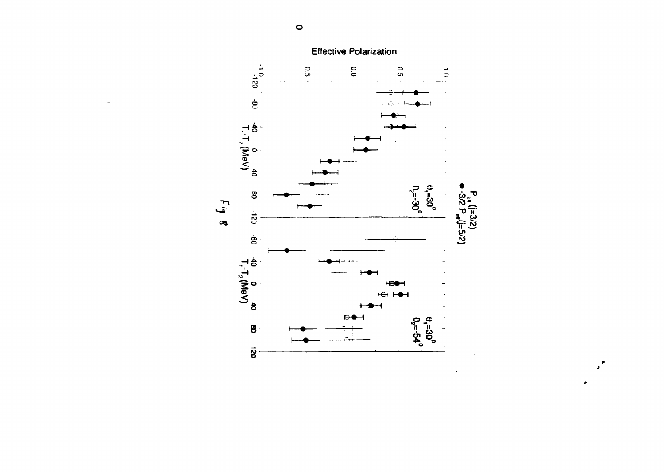

 $\ddot{\phantom{a}}$ 

 $\circ$